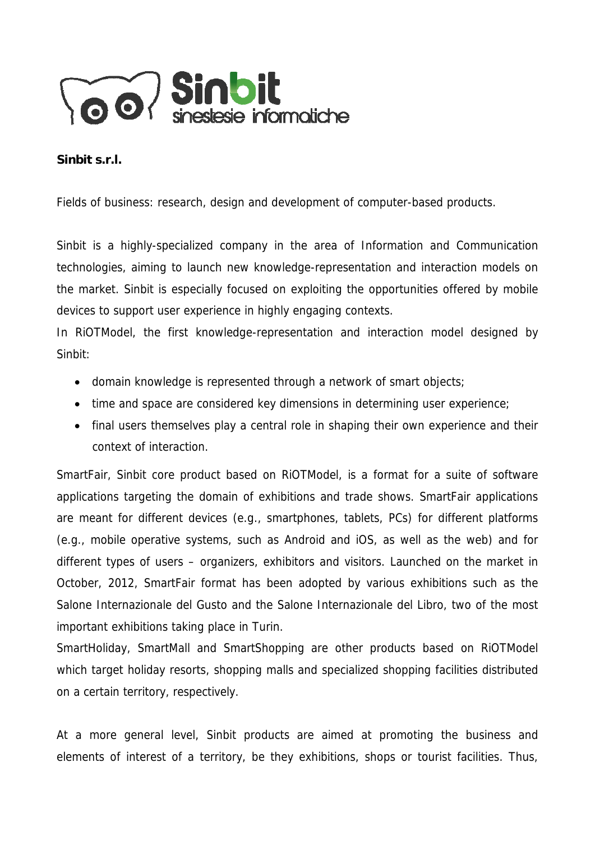

## **Sinbit s.r.l.**

Fields of business: research, design and development of computer-based products.

Sinbit is a highly-specialized company in the area of Information and Communication technologies, aiming to launch new knowledge-representation and interaction models on the market. Sinbit is especially focused on exploiting the opportunities offered by mobile devices to support user experience in highly engaging contexts.

In RiOTModel, the first knowledge-representation and interaction model designed by Sinbit:

- domain knowledge is represented through a network of smart objects;
- time and space are considered key dimensions in determining user experience;
- final users themselves play a central role in shaping their own experience and their context of interaction.

SmartFair, Sinbit core product based on RiOTModel, is a format for a suite of software applications targeting the domain of exhibitions and trade shows. SmartFair applications are meant for different devices (e.g., smartphones, tablets, PCs) for different platforms (e.g., mobile operative systems, such as Android and iOS, as well as the web) and for different types of users – organizers, exhibitors and visitors. Launched on the market in October, 2012, SmartFair format has been adopted by various exhibitions such as the Salone Internazionale del Gusto and the Salone Internazionale del Libro, two of the most important exhibitions taking place in Turin.

SmartHoliday, SmartMall and SmartShopping are other products based on RiOTModel which target holiday resorts, shopping malls and specialized shopping facilities distributed on a certain territory, respectively.

At a more general level, Sinbit products are aimed at promoting the business and elements of interest of a territory, be they exhibitions, shops or tourist facilities. Thus,